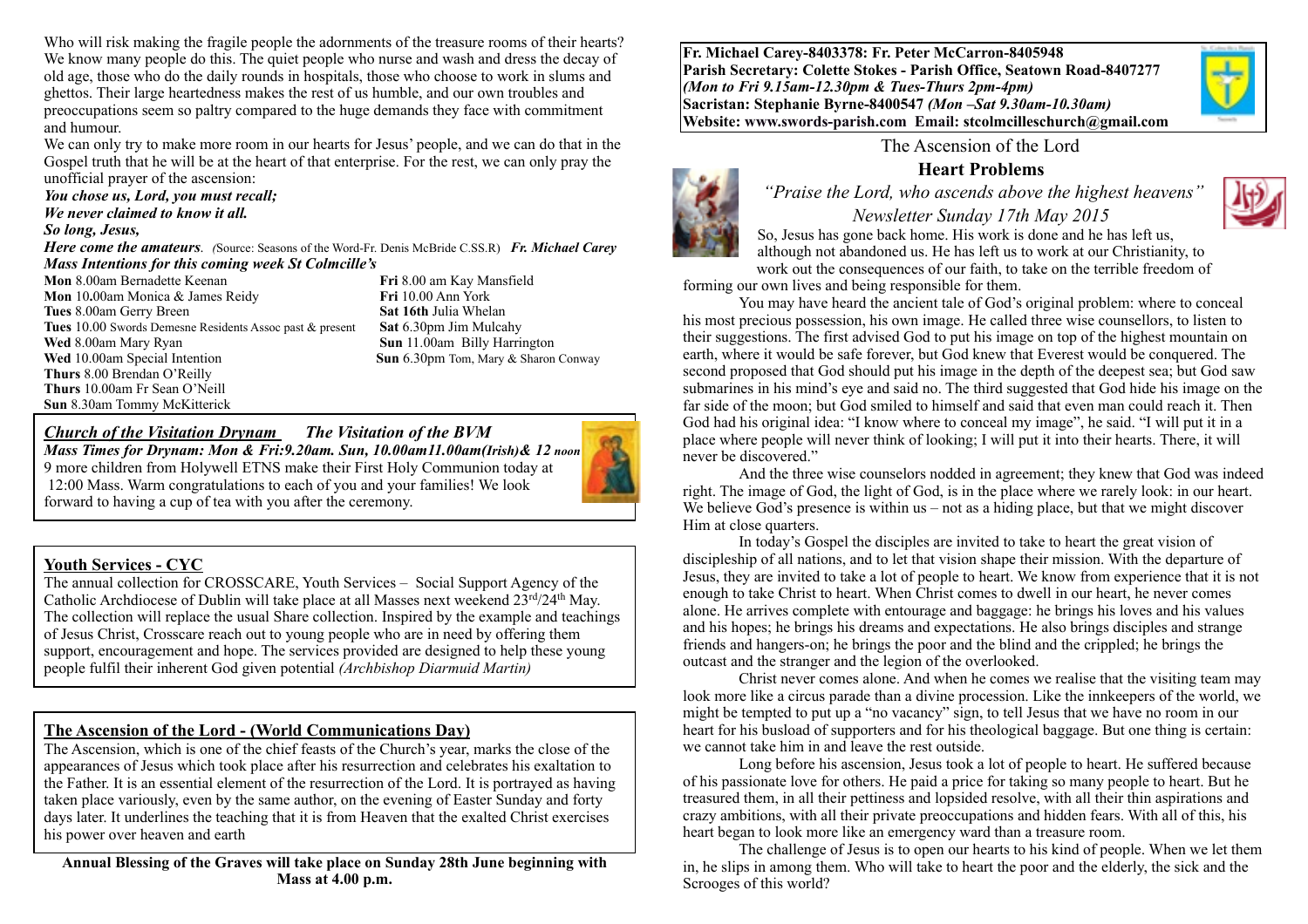Who will risk making the fragile people the adornments of the treasure rooms of their hearts? We know many people do this. The quiet people who nurse and wash and dress the decay of old age, those who do the daily rounds in hospitals, those who choose to work in slums and ghettos. Their large heartedness makes the rest of us humble, and our own troubles and preoccupations seem so paltry compared to the huge demands they face with commitment and humour.

We can only try to make more room in our hearts for Jesus' people, and we can do that in the Gospel truth that he will be at the heart of that enterprise. For the rest, we can only pray the unofficial prayer of the ascension:

*You chose us, Lord, you must recall; We never claimed to know it all.* 

#### *So long, Jesus,*

*Here come the amateurs. (*Source: Seasons of the Word-Fr. Denis McBride C.SS.R) *Fr. Michael Carey Mass Intentions for this coming week St Colmcille's*

**Mon** 8.00am Bernadette Keenan **Fri** 8.00 am Kay Mansfield<br> **Mon** 10.00am Monica & James Reidy **Fri** 10.00 Ann York **Mon** 10.00am Monica & James Reidy **Tues** 8.00am Gerry Breen **Sat 16th** Julia Whelan **Tues** 10.00 Swords Demesne Residents Assoc past & present **Sat** 6.30pm Jim Mulcahy **Wed** 8.00am Mary Ryan **Sun** 11.00am Billy Harrington **Wed** 10.00am Special Intention **Sun** 6.30pm Tom, Mary & Sharon Conway **Thurs** 8.00 Brendan O'Reilly **Thurs** 10.00am Fr Sean O'Neill **Sun** 8.30am Tommy McKitterick

## *Church of the Visitation Drynam**The Visitation of the BVM*

*Mass Times for Drynam: Mon & Fri:9.20am. Sun, 10.00am11.00am(Irish)& 12 noon* 9 more children from Holywell ETNS make their First Holy Communion today at 12:00 Mass. Warm congratulations to each of you and your families! We look forward to having a cup of tea with you after the ceremony.



The annual collection for CROSSCARE, Youth Services – Social Support Agency of the Catholic Archdiocese of Dublin will take place at all Masses next weekend 23rd/24th May. The collection will replace the usual Share collection. Inspired by the example and teachings of Jesus Christ, Crosscare reach out to young people who are in need by offering them support, encouragement and hope. The services provided are designed to help these young people fulfil their inherent God given potential *(Archbishop Diarmuid Martin)*

#### **The Ascension of the Lord - (World Communications Day)**

The Ascension, which is one of the chief feasts of the Church's year, marks the close of the appearances of Jesus which took place after his resurrection and celebrates his exaltation to the Father. It is an essential element of the resurrection of the Lord. It is portrayed as having taken place variously, even by the same author, on the evening of Easter Sunday and forty days later. It underlines the teaching that it is from Heaven that the exalted Christ exercises his power over heaven and earth

**Annual Blessing of the Graves will take place on Sunday 28th June beginning with Mass at 4.00 p.m.**

**Fr. Michael Carey-8403378: Fr. Peter McCarron-8405948 Parish Secretary: Colette Stokes - Parish Office, Seatown Road-8407277**  *(Mon to Fri 9.15am-12.30pm & Tues-Thurs 2pm-4pm)*  **Sacristan: Stephanie Byrne-8400547** *(Mon –Sat 9.30am-10.30am)* **Website: [www.swords-parish.com Email](http://www.swords-parish.com%20%20email): stcolmcilleschurch@gmail.com**



The Ascension of the Lord

## **Heart Problems**

 *"Praise the Lord, who ascends above the highest heavens"* 



*Newsletter Sunday 17th May 2015*  So, Jesus has gone back home. His work is done and he has left us, although not abandoned us. He has left us to work at our Christianity, to work out the consequences of our faith, to take on the terrible freedom of

forming our own lives and being responsible for them.

You may have heard the ancient tale of God's original problem: where to conceal his most precious possession, his own image. He called three wise counsellors, to listen to their suggestions. The first advised God to put his image on top of the highest mountain on earth, where it would be safe forever, but God knew that Everest would be conquered. The second proposed that God should put his image in the depth of the deepest sea; but God saw submarines in his mind's eye and said no. The third suggested that God hide his image on the far side of the moon; but God smiled to himself and said that even man could reach it. Then God had his original idea: "I know where to conceal my image", he said. "I will put it in a place where people will never think of looking; I will put it into their hearts. There, it will never be discovered."

And the three wise counselors nodded in agreement; they knew that God was indeed right. The image of God, the light of God, is in the place where we rarely look: in our heart. We believe God's presence is within us – not as a hiding place, but that we might discover Him at close quarters.

In today's Gospel the disciples are invited to take to heart the great vision of discipleship of all nations, and to let that vision shape their mission. With the departure of Jesus, they are invited to take a lot of people to heart. We know from experience that it is not enough to take Christ to heart. When Christ comes to dwell in our heart, he never comes alone. He arrives complete with entourage and baggage: he brings his loves and his values and his hopes; he brings his dreams and expectations. He also brings disciples and strange friends and hangers-on; he brings the poor and the blind and the crippled; he brings the outcast and the stranger and the legion of the overlooked.

Christ never comes alone. And when he comes we realise that the visiting team may look more like a circus parade than a divine procession. Like the innkeepers of the world, we might be tempted to put up a "no vacancy" sign, to tell Jesus that we have no room in our heart for his busload of supporters and for his theological baggage. But one thing is certain: we cannot take him in and leave the rest outside.

Long before his ascension, Jesus took a lot of people to heart. He suffered because of his passionate love for others. He paid a price for taking so many people to heart. But he treasured them, in all their pettiness and lopsided resolve, with all their thin aspirations and crazy ambitions, with all their private preoccupations and hidden fears. With all of this, his heart began to look more like an emergency ward than a treasure room.

The challenge of Jesus is to open our hearts to his kind of people. When we let them in, he slips in among them. Who will take to heart the poor and the elderly, the sick and the Scrooges of this world?